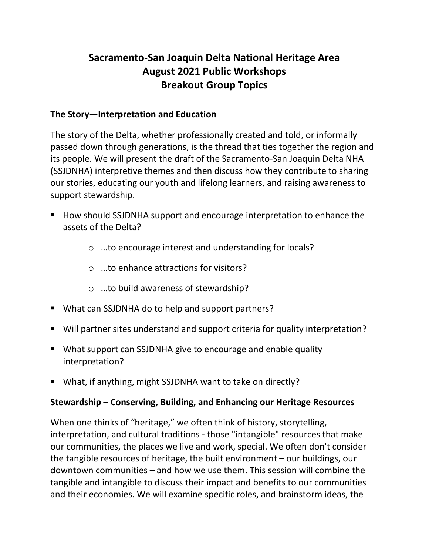# **Sacramento-San Joaquin Delta National Heritage Area August 2021 Public Workshops Breakout Group Topics**

## **The Story—Interpretation and Education**

The story of the Delta, whether professionally created and told, or informally passed down through generations, is the thread that ties together the region and its people. We will present the draft of the Sacramento-San Joaquin Delta NHA (SSJDNHA) interpretive themes and then discuss how they contribute to sharing our stories, educating our youth and lifelong learners, and raising awareness to support stewardship.

- How should SSJDNHA support and encourage interpretation to enhance the assets of the Delta?
	- o …to encourage interest and understanding for locals?
	- o …to enhance attractions for visitors?
	- o …to build awareness of stewardship?
- What can SSJDNHA do to help and support partners?
- Will partner sites understand and support criteria for quality interpretation?
- What support can SSJDNHA give to encourage and enable quality interpretation?
- What, if anything, might SSJDNHA want to take on directly?

#### **Stewardship – Conserving, Building, and Enhancing our Heritage Resources**

When one thinks of "heritage," we often think of history, storytelling, interpretation, and cultural traditions - those "intangible" resources that make our communities, the places we live and work, special. We often don't consider the tangible resources of heritage, the built environment – our buildings, our downtown communities – and how we use them. This session will combine the tangible and intangible to discuss their impact and benefits to our communities and their economies. We will examine specific roles, and brainstorm ideas, the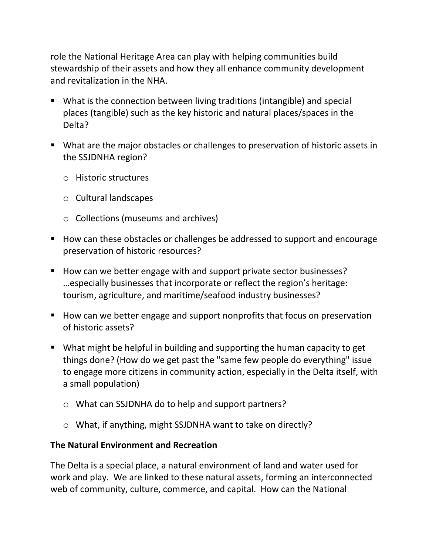role the National Heritage Area can play with helping communities build stewardship of their assets and how they all enhance community development and revitalization in the NHA.

- What is the connection between living traditions (intangible) and special places (tangible) such as the key historic and natural places/spaces in the Delta?
- What are the major obstacles or challenges to preservation of historic assets in the SSJDNHA region?
	- o Historic structures
	- o Cultural landscapes
	- o Collections (museums and archives)
- How can these obstacles or challenges be addressed to support and encourage preservation of historic resources?
- How can we better engage with and support private sector businesses? …especially businesses that incorporate or reflect the region's heritage: tourism, agriculture, and maritime/seafood industry businesses?
- How can we better engage and support nonprofits that focus on preservation of historic assets?
- What might be helpful in building and supporting the human capacity to get things done? (How do we get past the "same few people do everything" issue to engage more citizens in community action, especially in the Delta itself, with a small population)
	- o What can SSJDNHA do to help and support partners?
	- o What, if anything, might SSJDNHA want to take on directly?

#### **The Natural Environment and Recreation**

The Delta is a special place, a natural environment of land and water used for work and play. We are linked to these natural assets, forming an interconnected web of community, culture, commerce, and capital. How can the National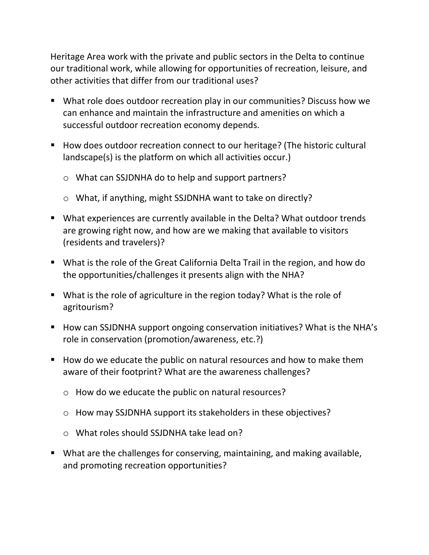Heritage Area work with the private and public sectors in the Delta to continue our traditional work, while allowing for opportunities of recreation, leisure, and other activities that differ from our traditional uses?

- What role does outdoor recreation play in our communities? Discuss how we can enhance and maintain the infrastructure and amenities on which a successful outdoor recreation economy depends.
- How does outdoor recreation connect to our heritage? (The historic cultural landscape(s) is the platform on which all activities occur.)
	- o What can SSJDNHA do to help and support partners?
	- o What, if anything, might SSJDNHA want to take on directly?
- What experiences are currently available in the Delta? What outdoor trends are growing right now, and how are we making that available to visitors (residents and travelers)?
- What is the role of the Great California Delta Trail in the region, and how do the opportunities/challenges it presents align with the NHA?
- What is the role of agriculture in the region today? What is the role of agritourism?
- How can SSJDNHA support ongoing conservation initiatives? What is the NHA's role in conservation (promotion/awareness, etc.?)
- How do we educate the public on natural resources and how to make them aware of their footprint? What are the awareness challenges?
	- o How do we educate the public on natural resources?
	- o How may SSJDNHA support its stakeholders in these objectives?
	- o What roles should SSJDNHA take lead on?
- What are the challenges for conserving, maintaining, and making available, and promoting recreation opportunities?